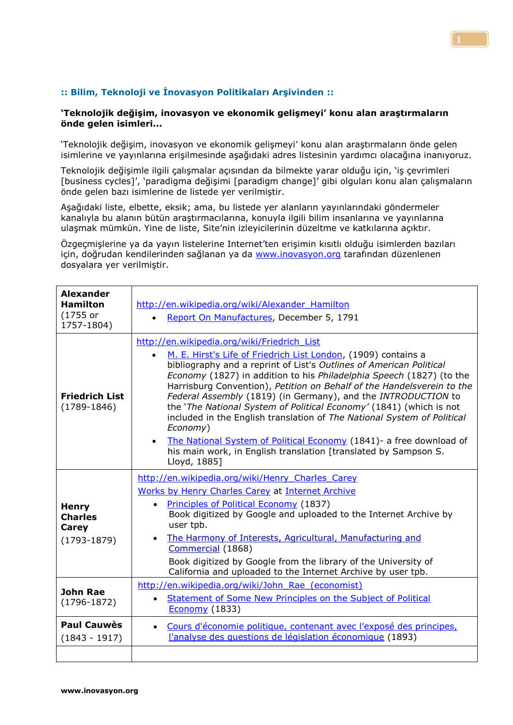## **:: Bilim, Teknoloji ve İnovasyon Politikaları Arşivinden ::**

## **'Teknolojik değişim, inovasyon ve ekonomik gelişmeyi' konu alan araştırmaların önde gelen isimleri...**

'Teknolojik değişim, inovasyon ve ekonomik gelişmeyi' konu alan araştırmaların önde gelen isimlerine ve yayınlarına erişilmesinde aşağıdaki adres listesinin yardımcı olacağına inanıyoruz.

Teknolojik değişimle ilgili çalışmalar açısından da bilmekte yarar olduğu için, 'iş çevrimleri [business cycles]', 'paradigma değişimi [paradigm change]' gibi olguları konu alan çalışmaların önde gelen bazı isimlerine de listede yer verilmiştir.

Aşağıdaki liste, elbette, eksik; ama, bu listede yer alanların yayınlarındaki göndermeler kanalıyla bu alanın bütün araştırmacılarına, konuyla ilgili bilim insanlarına ve yayınlarına ulaşmak mümkün. Yine de liste, Site'nin izleyicilerinin düzeltme ve katkılarına açıktır.

Özgeçmişlerine ya da yayın listelerine Internet'ten erişimin kısıtlı olduğu isimlerden bazıları için, doğrudan kendilerinden sağlanan ya da [www.inovasyon.org](http://www.inovasyon.org/) tarafından düzenlenen dosyalara yer verilmiştir.

| <b>Alexander</b><br><b>Hamilton</b><br>$(1755$ or<br>1757-1804) | http://en.wikipedia.org/wiki/Alexander Hamilton<br>Report On Manufactures, December 5, 1791<br>$\bullet$                                                                                                                                                                                                                                                                                                                                                                                                                                                                                                                                                                                                                                  |
|-----------------------------------------------------------------|-------------------------------------------------------------------------------------------------------------------------------------------------------------------------------------------------------------------------------------------------------------------------------------------------------------------------------------------------------------------------------------------------------------------------------------------------------------------------------------------------------------------------------------------------------------------------------------------------------------------------------------------------------------------------------------------------------------------------------------------|
| <b>Friedrich List</b><br>$(1789 - 1846)$                        | http://en.wikipedia.org/wiki/Friedrich List<br>M. E. Hirst's Life of Friedrich List London, (1909) contains a<br>$\bullet$<br>bibliography and a reprint of List's Outlines of American Political<br>Economy (1827) in addition to his Philadelphia Speech (1827) (to the<br>Harrisburg Convention), Petition on Behalf of the Handelsverein to the<br>Federal Assembly (1819) (in Germany), and the INTRODUCTION to<br>the 'The National System of Political Economy' (1841) (which is not<br>included in the English translation of The National System of Political<br>Economy)<br>The National System of Political Economy (1841)- a free download of<br>$\bullet$<br>his main work, in English translation [translated by Sampson S. |
|                                                                 | Lloyd, 1885]                                                                                                                                                                                                                                                                                                                                                                                                                                                                                                                                                                                                                                                                                                                              |
| <b>Henry</b><br><b>Charles</b><br>Carey<br>$(1793-1879)$        | http://en.wikipedia.org/wiki/Henry Charles Carey<br>Works by Henry Charles Carey at Internet Archive<br>Principles of Political Economy (1837)<br>$\bullet$<br>Book digitized by Google and uploaded to the Internet Archive by<br>user tpb.<br>The Harmony of Interests, Agricultural, Manufacturing and<br>$\bullet$<br>Commercial (1868)<br>Book digitized by Google from the library of the University of<br>California and uploaded to the Internet Archive by user tpb.                                                                                                                                                                                                                                                             |
| <b>John Rae</b><br>$(1796 - 1872)$                              | http://en.wikipedia.org/wiki/John Rae (economist)<br>Statement of Some New Principles on the Subject of Political<br>$\bullet$<br><b>Economy</b> (1833)                                                                                                                                                                                                                                                                                                                                                                                                                                                                                                                                                                                   |
| <b>Paul Cauwès</b><br>$(1843 - 1917)$                           | Cours d'économie politique, contenant avec l'exposé des principes,<br>$\bullet$<br>l'analyse des questions de législation économique (1893)                                                                                                                                                                                                                                                                                                                                                                                                                                                                                                                                                                                               |
|                                                                 |                                                                                                                                                                                                                                                                                                                                                                                                                                                                                                                                                                                                                                                                                                                                           |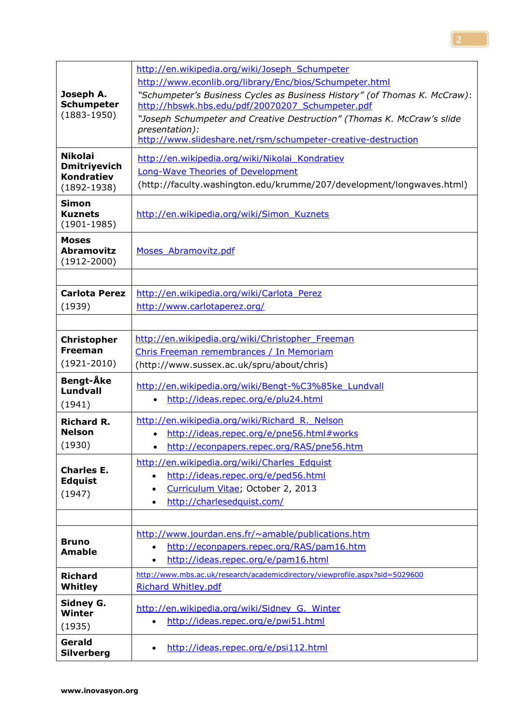|                                          | http://en.wikipedia.org/wiki/Joseph Schumpeter                               |
|------------------------------------------|------------------------------------------------------------------------------|
|                                          | http://www.econlib.org/library/Enc/bios/Schumpeter.html                      |
| Joseph A.                                | "Schumpeter's Business Cycles as Business History" (of Thomas K. McCraw):    |
| <b>Schumpeter</b>                        | http://hbswk.hbs.edu/pdf/20070207 Schumpeter.pdf                             |
| $(1883 - 1950)$                          | "Joseph Schumpeter and Creative Destruction" (Thomas K. McCraw's slide       |
|                                          | presentation):                                                               |
|                                          | http://www.slideshare.net/rsm/schumpeter-creative-destruction                |
| <b>Nikolai</b>                           | http://en.wikipedia.org/wiki/Nikolai Kondratiev                              |
| <b>Dmitriyevich</b><br><b>Kondratiev</b> | <b>Long-Wave Theories of Development</b>                                     |
| $(1892 - 1938)$                          | (http://faculty.washington.edu/krumme/207/development/longwaves.html)        |
| <b>Simon</b>                             |                                                                              |
| <b>Kuznets</b>                           | http://en.wikipedia.org/wiki/Simon Kuznets                                   |
| $(1901 - 1985)$                          |                                                                              |
| <b>Moses</b>                             |                                                                              |
| <b>Abramovitz</b>                        | Moses Abramovitz.pdf                                                         |
| $(1912 - 2000)$                          |                                                                              |
|                                          |                                                                              |
| <b>Carlota Perez</b>                     | http://en.wikipedia.org/wiki/Carlota Perez                                   |
| (1939)                                   | http://www.carlotaperez.org/                                                 |
|                                          |                                                                              |
| <b>Christopher</b>                       | http://en.wikipedia.org/wiki/Christopher Freeman                             |
| <b>Freeman</b>                           | Chris Freeman remembrances / In Memoriam                                     |
| $(1921 - 2010)$                          | (http://www.sussex.ac.uk/spru/about/chris)                                   |
| Bengt-Åke                                |                                                                              |
| Lundvall                                 | http://en.wikipedia.org/wiki/Bengt-%C3%85ke Lundvall                         |
| (1941)                                   | http://ideas.repec.org/e/plu24.html<br>$\bullet$                             |
| <b>Richard R.</b>                        | http://en.wikipedia.org/wiki/Richard R. Nelson                               |
| <b>Nelson</b>                            | http://ideas.repec.org/e/pne56.html#works                                    |
| (1930)                                   | http://econpapers.repec.org/RAS/pne56.htm<br>$\bullet$                       |
|                                          | http://en.wikipedia.org/wiki/Charles Edquist                                 |
| <b>Charles E.</b>                        | http://ideas.repec.org/e/ped56.html<br>$\bullet$                             |
| <b>Edquist</b><br>(1947)                 | Curriculum Vitae; October 2, 2013<br>٠                                       |
|                                          | http://charlesedquist.com/                                                   |
|                                          |                                                                              |
|                                          | http://www.jourdan.ens.fr/~amable/publications.htm                           |
| <b>Bruno</b>                             | http://econpapers.repec.org/RAS/pam16.htm<br>$\bullet$                       |
| <b>Amable</b>                            | http://ideas.repec.org/e/pam16.html<br>$\bullet$                             |
| <b>Richard</b>                           | http://www.mbs.ac.uk/research/academicdirectory/viewprofile.aspx?sid=5029600 |
| Whitley                                  | <b>Richard Whitley.pdf</b>                                                   |
| Sidney G.                                |                                                                              |
| Winter                                   | http://en.wikipedia.org/wiki/Sidney G. Winter                                |
| (1935)                                   | http://ideas.repec.org/e/pwi51.html                                          |
| Gerald                                   |                                                                              |
| <b>Silverberg</b>                        | http://ideas.repec.org/e/psi112.html<br>$\bullet$                            |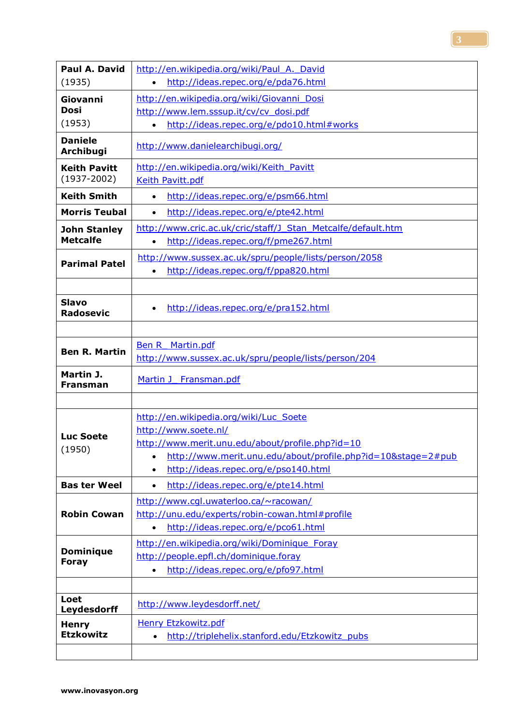| Paul A. David                          | http://en.wikipedia.org/wiki/Paul A. David                                |
|----------------------------------------|---------------------------------------------------------------------------|
| (1935)                                 | http://ideas.repec.org/e/pda76.html<br>$\bullet$                          |
| Giovanni                               | http://en.wikipedia.org/wiki/Giovanni Dosi                                |
| Dosi                                   | http://www.lem.sssup.it/cv/cv_dosi.pdf                                    |
| (1953)                                 | http://ideas.repec.org/e/pdo10.html#works<br>$\bullet$                    |
| <b>Daniele</b><br>Archibugi            | http://www.danielearchibugi.org/                                          |
| <b>Keith Pavitt</b><br>$(1937 - 2002)$ | http://en.wikipedia.org/wiki/Keith Pavitt<br>Keith Pavitt.pdf             |
| <b>Keith Smith</b>                     | http://ideas.repec.org/e/psm66.html<br>$\bullet$                          |
| <b>Morris Teubal</b>                   | http://ideas.repec.org/e/pte42.html<br>$\bullet$                          |
| <b>John Stanley</b>                    | http://www.cric.ac.uk/cric/staff/J Stan Metcalfe/default.htm              |
| <b>Metcalfe</b>                        | http://ideas.repec.org/f/pme267.html<br>$\bullet$                         |
| <b>Parimal Patel</b>                   | http://www.sussex.ac.uk/spru/people/lists/person/2058                     |
|                                        | http://ideas.repec.org/f/ppa820.html<br>$\bullet$                         |
|                                        |                                                                           |
| <b>Slavo</b><br><b>Radosevic</b>       | http://ideas.repec.org/e/pra152.html<br>$\bullet$                         |
|                                        |                                                                           |
| <b>Ben R. Martin</b>                   | <b>Ben R</b> Martin.pdf                                                   |
|                                        | http://www.sussex.ac.uk/spru/people/lists/person/204                      |
| Martin J.<br>Fransman                  | Martin J<br>Fransman.pdf                                                  |
|                                        |                                                                           |
|                                        | http://en.wikipedia.org/wiki/Luc_Soete                                    |
| <b>Luc Soete</b>                       | http://www.soete.nl/                                                      |
| (1950)                                 | http://www.merit.unu.edu/about/profile.php?id=10                          |
|                                        | http://www.merit.unu.edu/about/profile.php?id=10&stage=2#pub<br>$\bullet$ |
|                                        | http://ideas.repec.org/e/pso140.html<br>$\bullet$                         |
| <b>Bas ter Weel</b>                    | http://ideas.repec.org/e/pte14.html<br>$\bullet$                          |
|                                        | http://www.cql.uwaterloo.ca/~racowan/                                     |
| <b>Robin Cowan</b>                     | http://unu.edu/experts/robin-cowan.html#profile                           |
|                                        | http://ideas.repec.org/e/pco61.html<br>$\bullet$                          |
| <b>Dominique</b>                       | http://en.wikipedia.org/wiki/Dominique Foray                              |
| <b>Foray</b>                           | http://people.epfl.ch/dominique.foray                                     |
|                                        | http://ideas.repec.org/e/pfo97.html                                       |
|                                        |                                                                           |
| Loet<br>Leydesdorff                    | http://www.leydesdorff.net/                                               |
| <b>Henry</b>                           | <b>Henry Etzkowitz.pdf</b>                                                |
| <b>Etzkowitz</b>                       | http://triplehelix.stanford.edu/Etzkowitz pubs                            |
|                                        |                                                                           |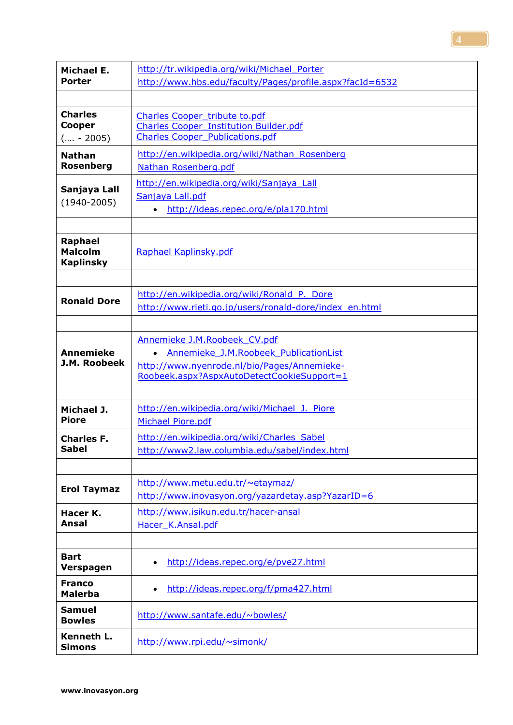| Michael E.                                           | http://tr.wikipedia.org/wiki/Michael Porter                                                                                                                        |
|------------------------------------------------------|--------------------------------------------------------------------------------------------------------------------------------------------------------------------|
| Porter                                               | http://www.hbs.edu/faculty/Pages/profile.aspx?facId=6532                                                                                                           |
|                                                      |                                                                                                                                                                    |
| <b>Charles</b>                                       | <b>Charles Cooper tribute to.pdf</b>                                                                                                                               |
| Cooper                                               | <b>Charles Cooper Institution Builder.pdf</b>                                                                                                                      |
| $( - 2005)$                                          | <b>Charles Cooper Publications.pdf</b>                                                                                                                             |
| <b>Nathan</b>                                        | http://en.wikipedia.org/wiki/Nathan Rosenberg                                                                                                                      |
| <b>Rosenberg</b>                                     | Nathan Rosenberg.pdf                                                                                                                                               |
| Sanjaya Lall<br>$(1940 - 2005)$                      | http://en.wikipedia.org/wiki/Sanjaya Lall<br>Sanjaya Lall.pdf<br>http://ideas.repec.org/e/pla170.html<br>$\bullet$                                                 |
| <b>Raphael</b><br><b>Malcolm</b><br><b>Kaplinsky</b> | Raphael Kaplinsky.pdf                                                                                                                                              |
| <b>Ronald Dore</b>                                   | http://en.wikipedia.org/wiki/Ronald P. Dore<br>http://www.rieti.go.jp/users/ronald-dore/index_en.html                                                              |
| <b>Annemieke</b><br>J.M. Roobeek                     | Annemieke J.M.Roobeek CV.pdf<br>Annemieke J.M.Roobeek PublicationList<br>http://www.nyenrode.nl/bio/Pages/Annemieke-<br>Roobeek.aspx?AspxAutoDetectCookieSupport=1 |
| Michael J.                                           | http://en.wikipedia.org/wiki/Michael J. Piore                                                                                                                      |
| <b>Piore</b>                                         | <b>Michael Piore.pdf</b>                                                                                                                                           |
| <b>Charles F.</b>                                    | http://en.wikipedia.org/wiki/Charles Sabel                                                                                                                         |
| <b>Sabel</b>                                         | http://www2.law.columbia.edu/sabel/index.html                                                                                                                      |
| <b>Erol Taymaz</b>                                   | http://www.metu.edu.tr/~etaymaz/<br>http://www.inovasyon.org/yazardetay.asp?YazarID=6                                                                              |
| Hacer K.                                             | http://www.isikun.edu.tr/hacer-ansal                                                                                                                               |
| Ansal                                                | Hacer K.Ansal.pdf                                                                                                                                                  |
| <b>Bart</b>                                          | http://ideas.repec.org/e/pve27.html                                                                                                                                |
| Verspagen                                            | $\bullet$                                                                                                                                                          |
| <b>Franco</b>                                        | http://ideas.repec.org/f/pma427.html                                                                                                                               |
| <b>Malerba</b>                                       | $\bullet$                                                                                                                                                          |
| <b>Samuel</b><br><b>Bowles</b>                       | http://www.santafe.edu/~bowles/                                                                                                                                    |
| Kenneth L.<br><b>Simons</b>                          | http://www.rpi.edu/~simonk/                                                                                                                                        |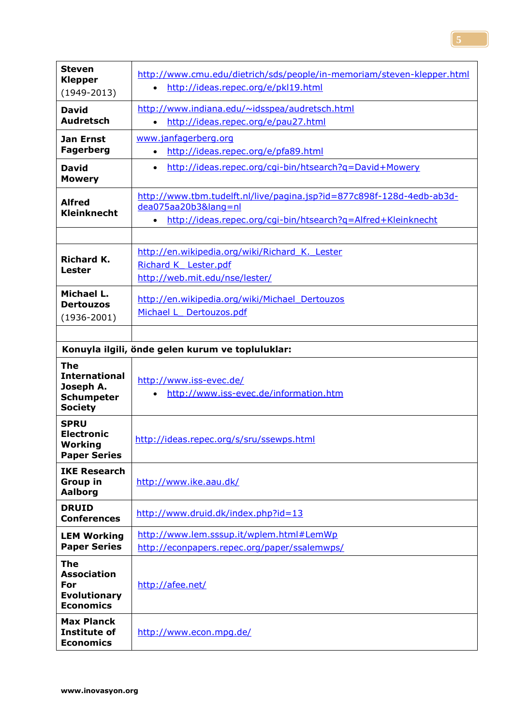| <b>Steven</b><br><b>Klepper</b><br>$(1949 - 2013)$                                     | http://www.cmu.edu/dietrich/sds/people/in-memoriam/steven-klepper.html<br>http://ideas.repec.org/e/pkl19.html<br>$\bullet$                                             |
|----------------------------------------------------------------------------------------|------------------------------------------------------------------------------------------------------------------------------------------------------------------------|
| <b>David</b><br><b>Audretsch</b>                                                       | http://www.indiana.edu/~idsspea/audretsch.html<br>http://ideas.repec.org/e/pau27.html<br>$\bullet$                                                                     |
| <b>Jan Ernst</b><br><b>Fagerberg</b>                                                   | www.janfagerberg.org<br>http://ideas.repec.org/e/pfa89.html<br>$\bullet$                                                                                               |
| <b>David</b><br><b>Mowery</b>                                                          | http://ideas.repec.org/cgi-bin/htsearch?g=David+Mowery<br>$\bullet$                                                                                                    |
| <b>Alfred</b><br><b>Kleinknecht</b>                                                    | http://www.tbm.tudelft.nl/live/pagina.jsp?id=877c898f-128d-4edb-ab3d-<br>dea075aa20b3⟨=nl<br>http://ideas.repec.org/cqi-bin/htsearch?q=Alfred+Kleinknecht<br>$\bullet$ |
| <b>Richard K.</b><br><b>Lester</b>                                                     | http://en.wikipedia.org/wiki/Richard K. Lester<br>Richard K Lester.pdf<br>http://web.mit.edu/nse/lester/                                                               |
| Michael L.<br><b>Dertouzos</b><br>$(1936 - 2001)$                                      | http://en.wikipedia.org/wiki/Michael Dertouzos<br>Michael L Dertouzos.pdf                                                                                              |
|                                                                                        | Konuyla ilgili, önde gelen kurum ve topluluklar:                                                                                                                       |
| <b>The</b><br><b>International</b><br>Joseph A.<br><b>Schumpeter</b><br><b>Society</b> | http://www.iss-evec.de/<br>http://www.iss-evec.de/information.htm<br>$\bullet$                                                                                         |
| <b>SPRU</b><br><b>Electronic</b><br>Working<br><b>Paper Series</b>                     | http://ideas.repec.org/s/sru/ssewps.html                                                                                                                               |
| <b>IKE Research</b><br><b>Group in</b><br><b>Aalborg</b>                               | http://www.ike.aau.dk/                                                                                                                                                 |
| <b>DRUID</b><br><b>Conferences</b>                                                     | http://www.druid.dk/index.php?id=13                                                                                                                                    |
| <b>LEM Working</b><br><b>Paper Series</b>                                              | http://www.lem.sssup.it/wplem.html#LemWp<br>http://econpapers.repec.org/paper/ssalemwps/                                                                               |
| <b>The</b><br><b>Association</b><br>For<br><b>Evolutionary</b><br><b>Economics</b>     | http://afee.net/                                                                                                                                                       |
| <b>Max Planck</b><br>Institute of<br><b>Economics</b>                                  | http://www.econ.mpg.de/                                                                                                                                                |